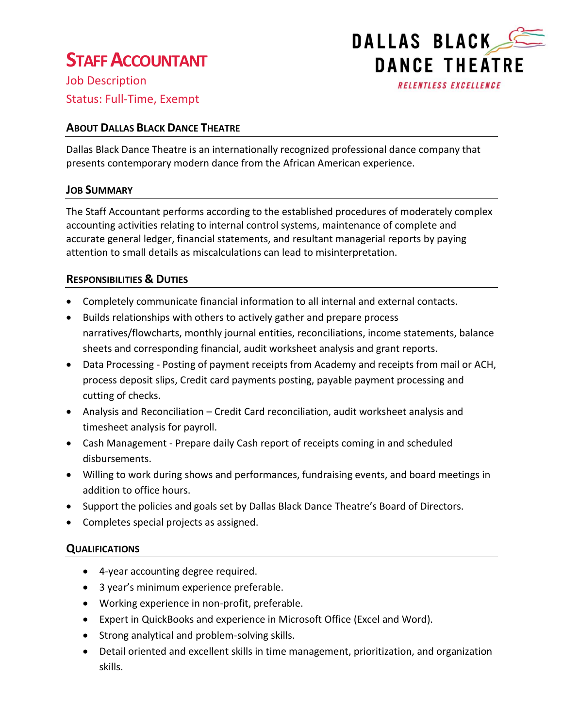# **STAFF ACCOUNTANT**

Job Description Status: Full-Time, Exempt

## **ABOUT DALLAS BLACK DANCE THEATRE**

Dallas Black Dance Theatre is an internationally recognized professional dance company that presents contemporary modern dance from the African American experience.

### **JOB SUMMARY**

The Staff Accountant performs according to the established procedures of moderately complex accounting activities relating to internal control systems, maintenance of complete and accurate general ledger, financial statements, and resultant managerial reports by paying attention to small details as miscalculations can lead to misinterpretation.

### **RESPONSIBILITIES & DUTIES**

- Completely communicate financial information to all internal and external contacts.
- Builds relationships with others to actively gather and prepare process narratives/flowcharts, monthly journal entities, reconciliations, income statements, balance sheets and corresponding financial, audit worksheet analysis and grant reports.
- Data Processing Posting of payment receipts from Academy and receipts from mail or ACH, process deposit slips, Credit card payments posting, payable payment processing and cutting of checks.
- Analysis and Reconciliation Credit Card reconciliation, audit worksheet analysis and timesheet analysis for payroll.
- Cash Management Prepare daily Cash report of receipts coming in and scheduled disbursements.
- Willing to work during shows and performances, fundraising events, and board meetings in addition to office hours.
- Support the policies and goals set by Dallas Black Dance Theatre's Board of Directors.
- Completes special projects as assigned.

## **QUALIFICATIONS**

- 4-year accounting degree required.
- 3 year's minimum experience preferable.
- Working experience in non-profit, preferable.
- Expert in QuickBooks and experience in Microsoft Office (Excel and Word).
- Strong analytical and problem-solving skills.
- Detail oriented and excellent skills in time management, prioritization, and organization skills.